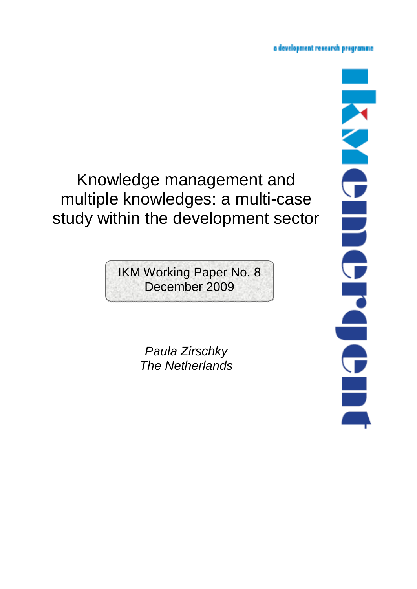# a development research programme.

# Knowledge management and multiple knowledges: a multi-case study within the development sector

IKM Working Paper No. 8 December 2009

> *Paula Zirschky The Netherlands*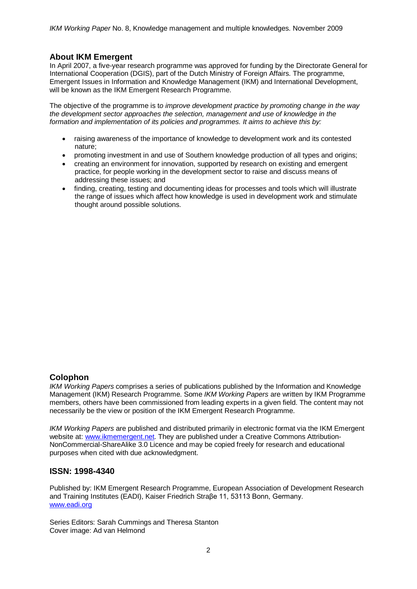# **About IKM Emergent**

In April 2007, a five-year research programme was approved for funding by the Directorate General for International Cooperation (DGIS), part of the Dutch Ministry of Foreign Affairs. The programme, Emergent Issues in Information and Knowledge Management (IKM) and International Development, will be known as the IKM Emergent Research Programme.

The objective of the programme is t*o improve development practice by promoting change in the way the development sector approaches the selection, management and use of knowledge in the formation and implementation of its policies and programmes. It aims to achieve this by:* 

- raising awareness of the importance of knowledge to development work and its contested nature;
- promoting investment in and use of Southern knowledge production of all types and origins;
- creating an environment for innovation, supported by research on existing and emergent practice, for people working in the development sector to raise and discuss means of addressing these issues; and
- finding, creating, testing and documenting ideas for processes and tools which will illustrate the range of issues which affect how knowledge is used in development work and stimulate thought around possible solutions.

## **Colophon**

*IKM Working Papers* comprises a series of publications published by the Information and Knowledge Management (IKM) Research Programme. Some *IKM Working Papers* are written by IKM Programme members, others have been commissioned from leading experts in a given field. The content may not necessarily be the view or position of the IKM Emergent Research Programme.

*IKM Working Papers* are published and distributed primarily in electronic format via the IKM Emergent website at: www.ikmemergent.net. They are published under a Creative Commons Attribution-NonCommercial-ShareAlike 3.0 Licence and may be copied freely for research and educational purposes when cited with due acknowledgment.

## **ISSN: 1998-4340**

Published by: IKM Emergent Research Programme, European Association of Development Research and Training Institutes (EADI), Kaiser Friedrich Straβe 11, 53113 Bonn, Germany. www.eadi.org

Series Editors: Sarah Cummings and Theresa Stanton Cover image: Ad van Helmond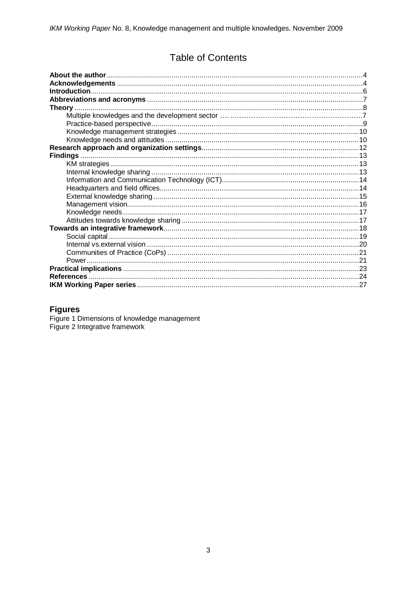# **Table of Contents**

# **Figures**

Figure 1 Dimensions of knowledge management<br>Figure 2 Integrative framework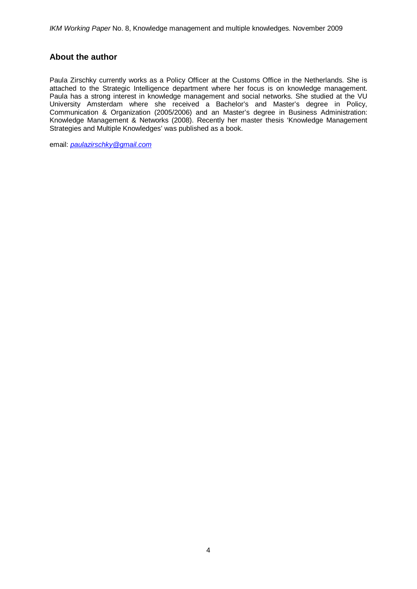# **About the author**

Paula Zirschky currently works as a Policy Officer at the Customs Office in the Netherlands. She is attached to the Strategic Intelligence department where her focus is on knowledge management. Paula has a strong interest in knowledge management and social networks. She studied at the VU University Amsterdam where she received a Bachelor's and Master's degree in Policy, Communication & Organization (2005/2006) and an Master's degree in Business Administration: Knowledge Management & Networks (2008). Recently her master thesis 'Knowledge Management Strategies and Multiple Knowledges' was published as a book.

email: *paulazirschky@gmail.com*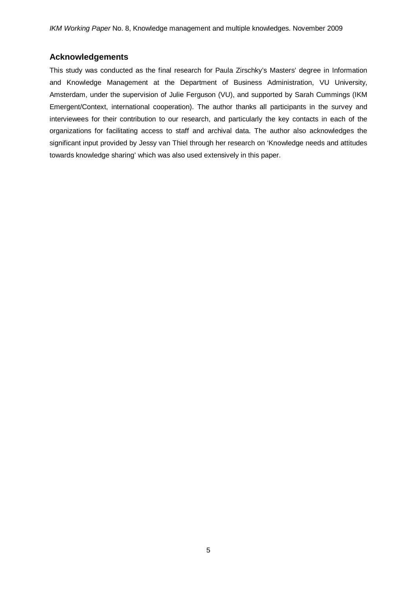## **Acknowledgements**

This study was conducted as the final research for Paula Zirschky's Masters' degree in Information and Knowledge Management at the Department of Business Administration, VU University, Amsterdam, under the supervision of Julie Ferguson (VU), and supported by Sarah Cummings (IKM Emergent/Context, international cooperation). The author thanks all participants in the survey and interviewees for their contribution to our research, and particularly the key contacts in each of the organizations for facilitating access to staff and archival data. The author also acknowledges the significant input provided by Jessy van Thiel through her research on 'Knowledge needs and attitudes towards knowledge sharing' which was also used extensively in this paper.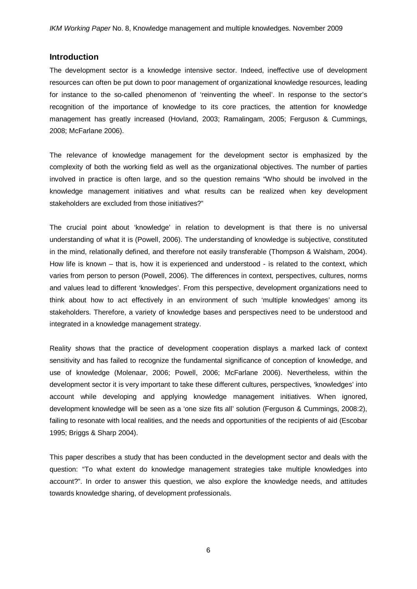## **Introduction**

The development sector is a knowledge intensive sector. Indeed, ineffective use of development resources can often be put down to poor management of organizational knowledge resources, leading for instance to the so-called phenomenon of 'reinventing the wheel'. In response to the sector's recognition of the importance of knowledge to its core practices, the attention for knowledge management has greatly increased (Hovland, 2003; Ramalingam, 2005; Ferguson & Cummings, 2008; McFarlane 2006).

The relevance of knowledge management for the development sector is emphasized by the complexity of both the working field as well as the organizational objectives. The number of parties involved in practice is often large, and so the question remains "Who should be involved in the knowledge management initiatives and what results can be realized when key development stakeholders are excluded from those initiatives?"

The crucial point about 'knowledge' in relation to development is that there is no universal understanding of what it is (Powell, 2006). The understanding of knowledge is subjective, constituted in the mind, relationally defined, and therefore not easily transferable (Thompson & Walsham, 2004). How life is known – that is, how it is experienced and understood - is related to the context, which varies from person to person (Powell, 2006). The differences in context, perspectives, cultures, norms and values lead to different 'knowledges'. From this perspective, development organizations need to think about how to act effectively in an environment of such 'multiple knowledges' among its stakeholders. Therefore, a variety of knowledge bases and perspectives need to be understood and integrated in a knowledge management strategy.

Reality shows that the practice of development cooperation displays a marked lack of context sensitivity and has failed to recognize the fundamental significance of conception of knowledge, and use of knowledge (Molenaar, 2006; Powell, 2006; McFarlane 2006). Nevertheless, within the development sector it is very important to take these different cultures, perspectives, 'knowledges' into account while developing and applying knowledge management initiatives. When ignored, development knowledge will be seen as a 'one size fits all' solution (Ferguson & Cummings, 2008:2), failing to resonate with local realities, and the needs and opportunities of the recipients of aid (Escobar 1995; Briggs & Sharp 2004).

This paper describes a study that has been conducted in the development sector and deals with the question: "To what extent do knowledge management strategies take multiple knowledges into account?". In order to answer this question, we also explore the knowledge needs, and attitudes towards knowledge sharing, of development professionals.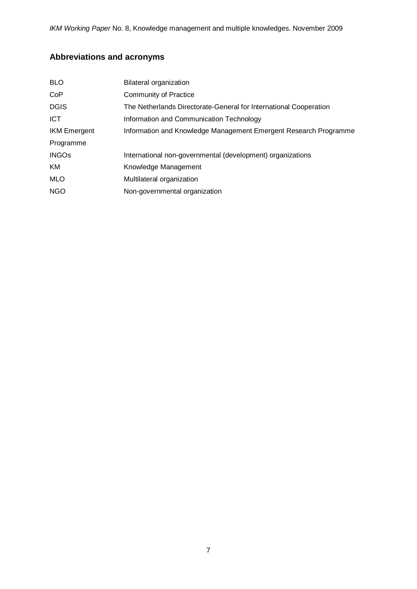*IKM Working Paper* No. 8, Knowledge management and multiple knowledges. November 2009

# **Abbreviations and acronyms**

| <b>BLO</b>          | Bilateral organization                                            |
|---------------------|-------------------------------------------------------------------|
| CoP                 | <b>Community of Practice</b>                                      |
| <b>DGIS</b>         | The Netherlands Directorate-General for International Cooperation |
| ICT                 | Information and Communication Technology                          |
| <b>IKM Emergent</b> | Information and Knowledge Management Emergent Research Programme  |
| Programme           |                                                                   |
| <b>INGOs</b>        | International non-governmental (development) organizations        |
| KM                  | Knowledge Management                                              |
| <b>MLO</b>          | Multilateral organization                                         |
| <b>NGO</b>          | Non-governmental organization                                     |
|                     |                                                                   |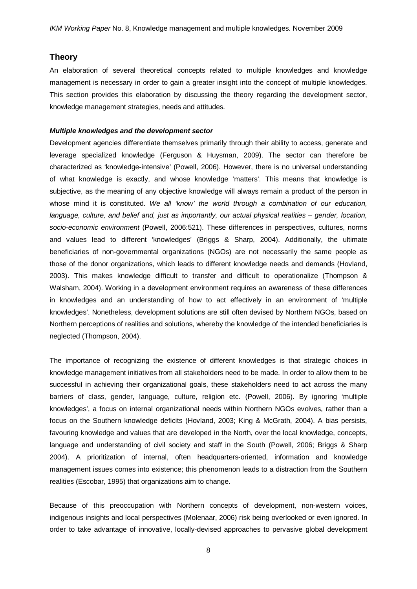### **Theory**

An elaboration of several theoretical concepts related to multiple knowledges and knowledge management is necessary in order to gain a greater insight into the concept of multiple knowledges. This section provides this elaboration by discussing the theory regarding the development sector, knowledge management strategies, needs and attitudes.

#### *Multiple knowledges and the development sector*

Development agencies differentiate themselves primarily through their ability to access, generate and leverage specialized knowledge (Ferguson & Huysman, 2009). The sector can therefore be characterized as 'knowledge-intensive' (Powell, 2006). However, there is no universal understanding of what knowledge is exactly, and whose knowledge 'matters'. This means that knowledge is subjective, as the meaning of any objective knowledge will always remain a product of the person in whose mind it is constituted. *We all 'know' the world through a combination of our education, language, culture, and belief and, just as importantly, our actual physical realities – gender, location, socio-economic environment* (Powell, 2006:521). These differences in perspectives, cultures, norms and values lead to different 'knowledges' (Briggs & Sharp, 2004). Additionally, the ultimate beneficiaries of non-governmental organizations (NGOs) are not necessarily the same people as those of the donor organizations, which leads to different knowledge needs and demands (Hovland, 2003). This makes knowledge difficult to transfer and difficult to operationalize (Thompson & Walsham, 2004). Working in a development environment requires an awareness of these differences in knowledges and an understanding of how to act effectively in an environment of 'multiple knowledges'. Nonetheless, development solutions are still often devised by Northern NGOs, based on Northern perceptions of realities and solutions, whereby the knowledge of the intended beneficiaries is neglected (Thompson, 2004).

The importance of recognizing the existence of different knowledges is that strategic choices in knowledge management initiatives from all stakeholders need to be made. In order to allow them to be successful in achieving their organizational goals, these stakeholders need to act across the many barriers of class, gender, language, culture, religion etc. (Powell, 2006). By ignoring 'multiple knowledges', a focus on internal organizational needs within Northern NGOs evolves, rather than a focus on the Southern knowledge deficits (Hovland, 2003; King & McGrath, 2004). A bias persists, favouring knowledge and values that are developed in the North, over the local knowledge, concepts, language and understanding of civil society and staff in the South (Powell, 2006; Briggs & Sharp 2004). A prioritization of internal, often headquarters-oriented, information and knowledge management issues comes into existence; this phenomenon leads to a distraction from the Southern realities (Escobar, 1995) that organizations aim to change.

Because of this preoccupation with Northern concepts of development, non-western voices, indigenous insights and local perspectives (Molenaar, 2006) risk being overlooked or even ignored. In order to take advantage of innovative, locally-devised approaches to pervasive global development

8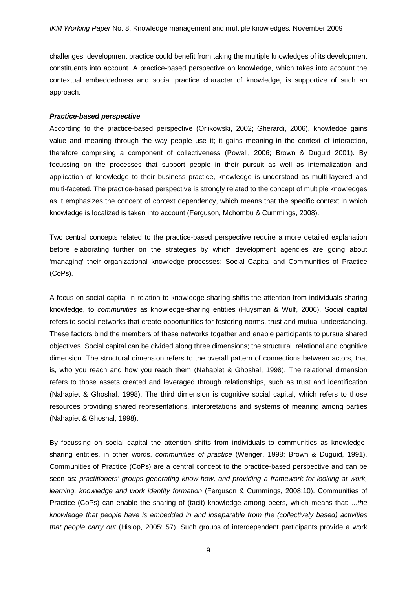challenges, development practice could benefit from taking the multiple knowledges of its development constituents into account. A practice-based perspective on knowledge, which takes into account the contextual embeddedness and social practice character of knowledge, is supportive of such an approach.

#### *Practice-based perspective*

According to the practice-based perspective (Orlikowski, 2002; Gherardi, 2006), knowledge gains value and meaning through the way people use it; it gains meaning in the context of interaction, therefore comprising a component of collectiveness (Powell, 2006; Brown & Duguid 2001). By focussing on the processes that support people in their pursuit as well as internalization and application of knowledge to their business practice, knowledge is understood as multi-layered and multi-faceted. The practice-based perspective is strongly related to the concept of multiple knowledges as it emphasizes the concept of context dependency, which means that the specific context in which knowledge is localized is taken into account (Ferguson, Mchombu & Cummings, 2008).

Two central concepts related to the practice-based perspective require a more detailed explanation before elaborating further on the strategies by which development agencies are going about 'managing' their organizational knowledge processes: Social Capital and Communities of Practice (CoPs).

A focus on social capital in relation to knowledge sharing shifts the attention from individuals sharing knowledge, to *communities* as knowledge-sharing entities (Huysman & Wulf, 2006). Social capital refers to social networks that create opportunities for fostering norms, trust and mutual understanding. These factors bind the members of these networks together and enable participants to pursue shared objectives. Social capital can be divided along three dimensions; the structural, relational and cognitive dimension. The structural dimension refers to the overall pattern of connections between actors, that is, who you reach and how you reach them (Nahapiet & Ghoshal, 1998). The relational dimension refers to those assets created and leveraged through relationships, such as trust and identification (Nahapiet & Ghoshal, 1998). The third dimension is cognitive social capital, which refers to those resources providing shared representations, interpretations and systems of meaning among parties (Nahapiet & Ghoshal, 1998).

By focussing on social capital the attention shifts from individuals to communities as knowledgesharing entities, in other words, *communities of practice* (Wenger, 1998; Brown & Duguid, 1991). Communities of Practice (CoPs) are a central concept to the practice-based perspective and can be seen as: *practitioners' groups generating know-how, and providing a framework for looking at work, learning, knowledge and work identity formation* (Ferguson & Cummings, 2008:10). Communities of Practice (CoPs) can enable the sharing of (tacit) knowledge among peers, which means that: ...*the knowledge that people have is embedded in and inseparable from the (collectively based) activities that people carry out* (Hislop, 2005: 57). Such groups of interdependent participants provide a work

9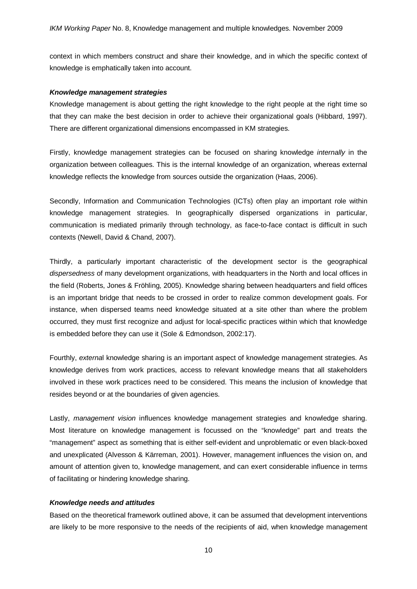context in which members construct and share their knowledge, and in which the specific context of knowledge is emphatically taken into account.

#### *Knowledge management strategies*

Knowledge management is about getting the right knowledge to the right people at the right time so that they can make the best decision in order to achieve their organizational goals (Hibbard, 1997). There are different organizational dimensions encompassed in KM strategies.

Firstly, knowledge management strategies can be focused on sharing knowledge *internally* in the organization between colleagues. This is the internal knowledge of an organization, whereas external knowledge reflects the knowledge from sources outside the organization (Haas, 2006).

Secondly, Information and Communication Technologies (ICTs) often play an important role within knowledge management strategies. In geographically dispersed organizations in particular, communication is mediated primarily through technology, as face-to-face contact is difficult in such contexts (Newell, David & Chand, 2007).

Thirdly, a particularly important characteristic of the development sector is the geographical *dispersedness* of many development organizations, with headquarters in the North and local offices in the field (Roberts, Jones & Fröhling, 2005). Knowledge sharing between headquarters and field offices is an important bridge that needs to be crossed in order to realize common development goals. For instance, when dispersed teams need knowledge situated at a site other than where the problem occurred, they must first recognize and adjust for local-specific practices within which that knowledge is embedded before they can use it (Sole & Edmondson, 2002:17).

Fourthly, *externa*l knowledge sharing is an important aspect of knowledge management strategies. As knowledge derives from work practices, access to relevant knowledge means that all stakeholders involved in these work practices need to be considered. This means the inclusion of knowledge that resides beyond or at the boundaries of given agencies.

Lastly, *management vision* influences knowledge management strategies and knowledge sharing. Most literature on knowledge management is focussed on the "knowledge" part and treats the "management" aspect as something that is either self-evident and unproblematic or even black-boxed and unexplicated (Alvesson & Kärreman, 2001). However, management influences the vision on, and amount of attention given to, knowledge management, and can exert considerable influence in terms of facilitating or hindering knowledge sharing.

#### *Knowledge needs and attitudes*

Based on the theoretical framework outlined above, it can be assumed that development interventions are likely to be more responsive to the needs of the recipients of aid, when knowledge management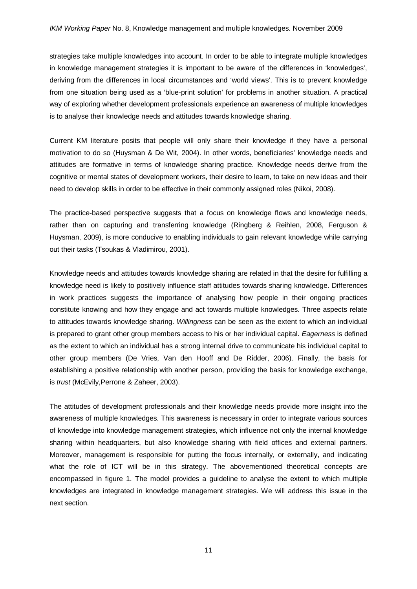strategies take multiple knowledges into account. In order to be able to integrate multiple knowledges in knowledge management strategies it is important to be aware of the differences in 'knowledges', deriving from the differences in local circumstances and 'world views'. This is to prevent knowledge from one situation being used as a 'blue-print solution' for problems in another situation. A practical way of exploring whether development professionals experience an awareness of multiple knowledges is to analyse their knowledge needs and attitudes towards knowledge sharing.

Current KM literature posits that people will only share their knowledge if they have a personal motivation to do so (Huysman & De Wit, 2004). In other words, beneficiaries' knowledge needs and attitudes are formative in terms of knowledge sharing practice. Knowledge needs derive from the cognitive or mental states of development workers, their desire to learn, to take on new ideas and their need to develop skills in order to be effective in their commonly assigned roles (Nikoi, 2008).

The practice-based perspective suggests that a focus on knowledge flows and knowledge needs, rather than on capturing and transferring knowledge (Ringberg & Reihlen, 2008, Ferguson & Huysman, 2009), is more conducive to enabling individuals to gain relevant knowledge while carrying out their tasks (Tsoukas & Vladimirou, 2001).

Knowledge needs and attitudes towards knowledge sharing are related in that the desire for fulfilling a knowledge need is likely to positively influence staff attitudes towards sharing knowledge. Differences in work practices suggests the importance of analysing how people in their ongoing practices constitute knowing and how they engage and act towards multiple knowledges. Three aspects relate to attitudes towards knowledge sharing. *Willingness* can be seen as the extent to which an individual is prepared to grant other group members access to his or her individual capital. *Eagerness* is defined as the extent to which an individual has a strong internal drive to communicate his individual capital to other group members (De Vries, Van den Hooff and De Ridder, 2006). Finally, the basis for establishing a positive relationship with another person, providing the basis for knowledge exchange, is *trust* (McEvily,Perrone & Zaheer, 2003).

The attitudes of development professionals and their knowledge needs provide more insight into the awareness of multiple knowledges. This awareness is necessary in order to integrate various sources of knowledge into knowledge management strategies, which influence not only the internal knowledge sharing within headquarters, but also knowledge sharing with field offices and external partners. Moreover, management is responsible for putting the focus internally, or externally, and indicating what the role of ICT will be in this strategy. The abovementioned theoretical concepts are encompassed in figure 1. The model provides a guideline to analyse the extent to which multiple knowledges are integrated in knowledge management strategies. We will address this issue in the next section.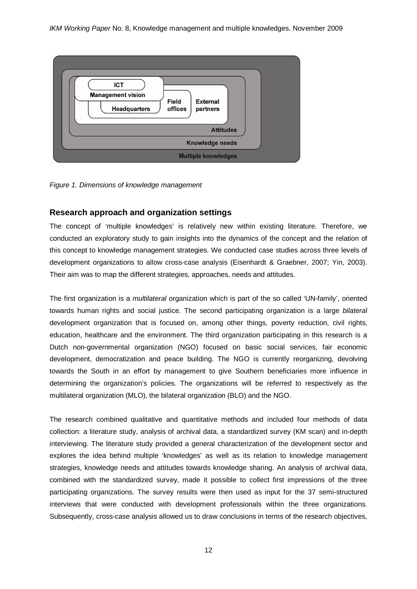

*Figure 1. Dimensions of knowledge management*

# **Research approach and organization settings**

The concept of 'multiple knowledges' is relatively new within existing literature. Therefore, we conducted an exploratory study to gain insights into the dynamics of the concept and the relation of this concept to knowledge management strategies. We conducted case studies across three levels of development organizations to allow cross-case analysis (Eisenhardt & Graebner, 2007; Yin, 2003). Their aim was to map the different strategies, approaches, needs and attitudes.

The first organization is a *multilateral* organization which is part of the so called 'UN-family', oriented towards human rights and social justice. The second participating organization is a large *bilateral* development organization that is focused on, among other things, poverty reduction, civil rights, education, healthcare and the environment. The third organization participating in this research is a Dutch non-governmental organization (NGO) focused on basic social services, fair economic development, democratization and peace building. The NGO is currently reorganizing, devolving towards the South in an effort by management to give Southern beneficiaries more influence in determining the organization's policies. The organizations will be referred to respectively as the multilateral organization (MLO), the bilateral organization (BLO) and the NGO.

The research combined qualitative and quantitative methods and included four methods of data collection: a literature study, analysis of archival data, a standardized survey (KM scan) and in-depth interviewing. The literature study provided a general characterization of the development sector and explores the idea behind multiple 'knowledges' as well as its relation to knowledge management strategies, knowledge needs and attitudes towards knowledge sharing. An analysis of archival data, combined with the standardized survey, made it possible to collect first impressions of the three participating organizations. The survey results were then used as input for the 37 semi-structured interviews that were conducted with development professionals within the three organizations. Subsequently, cross-case analysis allowed us to draw conclusions in terms of the research objectives,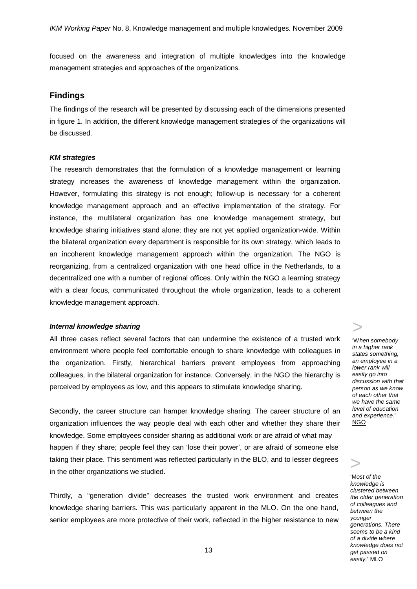focused on the awareness and integration of multiple knowledges into the knowledge management strategies and approaches of the organizations.

### **Findings**

The findings of the research will be presented by discussing each of the dimensions presented in figure 1. In addition, the different knowledge management strategies of the organizations will be discussed.

#### *KM strategies*

The research demonstrates that the formulation of a knowledge management or learning strategy increases the awareness of knowledge management within the organization. However, formulating this strategy is not enough; follow-up is necessary for a coherent knowledge management approach and an effective implementation of the strategy. For instance, the multilateral organization has one knowledge management strategy, but knowledge sharing initiatives stand alone; they are not yet applied organization-wide. Within the bilateral organization every department is responsible for its own strategy, which leads to an incoherent knowledge management approach within the organization. The NGO is reorganizing, from a centralized organization with one head office in the Netherlands, to a decentralized one with a number of regional offices. Only within the NGO a learning strategy with a clear focus, communicated throughout the whole organization, leads to a coherent knowledge management approach.

#### *Internal knowledge sharing*

All three cases reflect several factors that can undermine the existence of a trusted work environment where people feel comfortable enough to share knowledge with colleagues in the organization. Firstly, hierarchical barriers prevent employees from approaching colleagues, in the bilateral organization for instance. Conversely, in the NGO the hierarchy is perceived by employees as low, and this appears to stimulate knowledge sharing.

Secondly, the career structure can hamper knowledge sharing. The career structure of an organization influences the way people deal with each other and whether they share their knowledge. Some employees consider sharing as additional work or are afraid of what may happen if they share; people feel they can 'lose their power', or are afraid of someone else taking their place. This sentiment was reflected particularly in the BLO, and to lesser degrees in the other organizations we studied.

Thirdly, a "generation divide" decreases the trusted work environment and creates knowledge sharing barriers. This was particularly apparent in the MLO. On the one hand, senior employees are more protective of their work, reflected in the higher resistance to new >

>

'W*hen somebody in a higher rank states something, an employee in a lower rank will easily go into discussion with that person as we know of each other that we have the same level of education and experience.*' <u>NGO</u>

> *clustered between*  '*it is a big challenge between the to learn and younger manage knowledge generations. There together with our seems to be a kind field offices'* BLO *of a divide where*  'M*ost of the knowledge is the older generation of colleagues and knowledge does not get passed on easily.*' MLO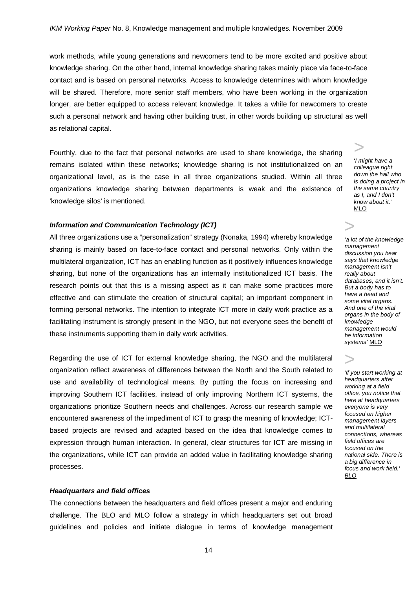work methods, while young generations and newcomers tend to be more excited and positive about knowledge sharing. On the other hand, internal knowledge sharing takes mainly place via face-to-face contact and is based on personal networks. Access to knowledge determines with whom knowledge will be shared. Therefore, more senior staff members, who have been working in the organization longer, are better equipped to access relevant knowledge. It takes a while for newcomers to create such a personal network and having other building trust, in other words building up structural as well as relational capital.

Fourthly, due to the fact that personal networks are used to share knowledge, the sharing remains isolated within these networks; knowledge sharing is not institutionalized on an organizational level, as is the case in all three organizations studied. Within all three organizations knowledge sharing between departments is weak and the existence of 'knowledge silos' is mentioned.

'*I might have a colleague right down the hall who is doing a project in the same country as I, and I don't know about it.*' MLO

>

#### *Information and Communication Technology (ICT)*

All three organizations use a "personalization" strategy (Nonaka, 1994) whereby knowledge sharing is mainly based on face-to-face contact and personal networks. Only within the multilateral organization, ICT has an enabling function as it positively influences knowledge sharing, but none of the organizations has an internally institutionalized ICT basis. The research points out that this is a missing aspect as it can make some practices more effective and can stimulate the creation of structural capital; an important component in forming personal networks. The intention to integrate ICT more in daily work practice as a facilitating instrument is strongly present in the NGO, but not everyone sees the benefit of these instruments supporting them in daily work activities.

Regarding the use of ICT for external knowledge sharing, the NGO and the multilateral organization reflect awareness of differences between the North and the South related to use and availability of technological means. By putting the focus on increasing and improving Southern ICT facilities, instead of only improving Northern ICT systems, the organizations prioritize Southern needs and challenges. Across our research sample we encountered awareness of the impediment of ICT to grasp the meaning of knowledge; ICTbased projects are revised and adapted based on the idea that knowledge comes to expression through human interaction. In general, clear structures for ICT are missing in the organizations, while ICT can provide an added value in facilitating knowledge sharing processes.

#### *Headquarters and field offices*

The connections between the headquarters and field offices present a major and enduring challenge. The BLO and MLO follow a strategy in which headquarters set out broad guidelines and policies and initiate dialogue in terms of knowledge management

> '*a lot of the knowledge management discussion you hear says that knowledge management isn't really about databases, and it isn't. But a body has to have a head and some vital organs. And one of the vital organs in the body of knowledge management would be information systems'* MLO

> '*if you start working at headquarters after working at a field office, you notice that here at headquarters everyone is very focused on higher management layers and multilateral connections, whereas field offices are focused on the national side. There is a big difference in focus and work field.' BLO*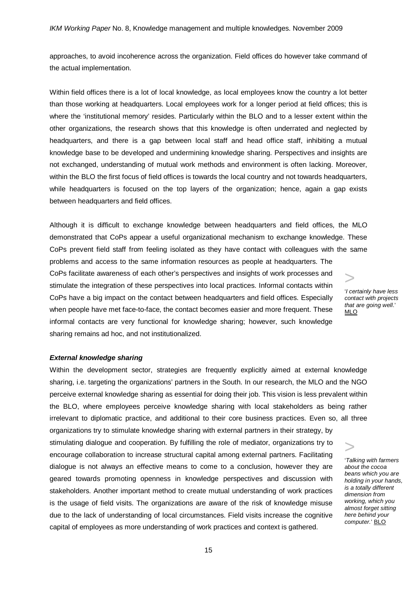approaches, to avoid incoherence across the organization. Field offices do however take command of the actual implementation.

Within field offices there is a lot of local knowledge, as local employees know the country a lot better than those working at headquarters. Local employees work for a longer period at field offices; this is where the 'institutional memory' resides. Particularly within the BLO and to a lesser extent within the other organizations, the research shows that this knowledge is often underrated and neglected by headquarters, and there is a gap between local staff and head office staff, inhibiting a mutual knowledge base to be developed and undermining knowledge sharing. Perspectives and insights are not exchanged, understanding of mutual work methods and environment is often lacking. Moreover, within the BLO the first focus of field offices is towards the local country and not towards headquarters, while headquarters is focused on the top layers of the organization; hence, again a gap exists between headquarters and field offices.

> MLO Although it is difficult to exchange knowledge between headquarters and field offices, the MLO demonstrated that CoPs appear a useful organizational mechanism to exchange knowledge. These CoPs prevent field staff from feeling isolated as they have contact with colleagues with the same problems and access to the same information resources as people at headquarters. The CoPs facilitate awareness of each other's perspectives and insights of work processes and stimulate the integration of these perspectives into local practices. Informal contacts within CoPs have a big impact on the contact between headquarters and field offices. Especially when people have met face-to-face, the contact becomes easier and more frequent. These informal contacts are very functional for knowledge sharing; however, such knowledge sharing remains ad hoc, and not institutionalized.

'*I certainly have less contact with projects that are going well*.'

#### *External knowledge sharing*

> Within the development sector, strategies are frequently explicitly aimed at external knowledge sharing, i.e. targeting the organizations' partners in the South. In our research, the MLO and the NGO perceive external knowledge sharing as essential for doing their job. This vision is less prevalent within the BLO, where employees perceive knowledge sharing with local stakeholders as being rather irrelevant to diplomatic practice, and additional to their core business practices. Even so, all three organizations try to stimulate knowledge sharing with external partners in their strategy, by stimulating dialogue and cooperation. By fulfilling the role of mediator, organizations try to encourage collaboration to increase structural capital among external partners. Facilitating dialogue is not always an effective means to come to a conclusion, however they are geared towards promoting openness in knowledge perspectives and discussion with stakeholders. Another important method to create mutual understanding of work practices is the usage of field visits. The organizations are aware of the risk of knowledge misuse due to the lack of understanding of local circumstances. Field visits increase the cognitive capital of employees as more understanding of work practices and context is gathered.

'*Talking with farmers about the cocoa beans which you are holding in your hands, is a totally different dimension from working, which you almost forget sitting here behind your computer.*' BLO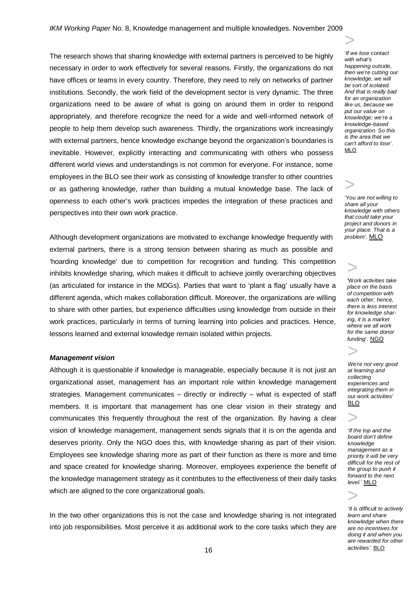The research shows that sharing knowledge with external partners is perceived to be highly necessary in order to work effectively for several reasons. Firstly, the organizations do not have offices or teams in every country. Therefore, they need to rely on networks of partner institutions. Secondly, the work field of the development sector is very dynamic. The three organizations need to be aware of what is going on around them in order to respond appropriately, and therefore recognize the need for a wide and well-informed network of people to help them develop such awareness. Thirdly, the organizations work increasingly with external partners, hence knowledge exchange beyond the organization's boundaries is inevitable. However, explicitly interacting and communicating with others who possess different world views and understandings is not common for everyone. For instance, some employees in the BLO see their work as consisting of knowledge transfer to other countries or as gathering knowledge, rather than building a mutual knowledge base. The lack of openness to each other's work practices impedes the integration of these practices and perspectives into their own work practice.

Although development organizations are motivated to exchange knowledge frequently with external partners, there is a strong tension between sharing as much as possible and 'hoarding knowledge' due to competition for recognition and funding. This competition inhibits knowledge sharing, which makes it difficult to achieve jointly overarching objectives (as articulated for instance in the MDGs). Parties that want to 'plant a flag' usually have a different agenda, which makes collaboration difficult. Moreover, the organizations are willing to share with other parties, but experience difficulties using knowledge from outside in their work practices, particularly in terms of turning learning into policies and practices. Hence, lessons learned and external knowledge remain isolated within projects.

#### *Management vision*

Although it is questionable if knowledge is manageable, especially because it is not just an organizational asset, management has an important role within knowledge management strategies. Management communicates – directly or indirectly – what is expected of staff members. It is important that management has one clear vision in their strategy and communicates this frequently throughout the rest of the organization. By having a clear vision of knowledge management, management sends signals that it is on the agenda and deserves priority. Only the NGO does this, with knowledge sharing as part of their vision. Employees see knowledge sharing more as part of their function as there is more and time and space created for knowledge sharing. Moreover, employees experience the benefit of the knowledge management strategy as it contributes to the effectiveness of their daily tasks which are aligned to the core organizational goals.

In the two other organizations this is not the case and knowledge sharing is not integrated into job responsibilities. Most perceive it as additional work to the core tasks which they are

> *'If we lose contact with what's happening outside, then we're cutting our knowledge, we will be sort of isolated. And that is really bad for an organization like us, because we put our value on knowledge; we're a knowledge-based organization. So this is the area that we can't afford to lose'*. MLO

> 'Y*ou are not willing to share all your knowledge with others that could take your project and donors in your place. That is a problem*'. MLO

'W*ork activities take place on the basis of competition with each other; hence, there is less interest for knowledge sharing, it is a market where we all work for the same donor funding*'. NGO >

>

*We're not very good at learning and collecting experiences and integrating them in our work activities*' BLO

>

>

*'If the top and the board don't define knowledge management as a priority it will be very difficult for the rest of the group to push it forward to the next level.*' MLO

'*It is difficult to actively learn and share knowledge when there are no incentives for doing it and when you are rewarded for other activities'*. BLO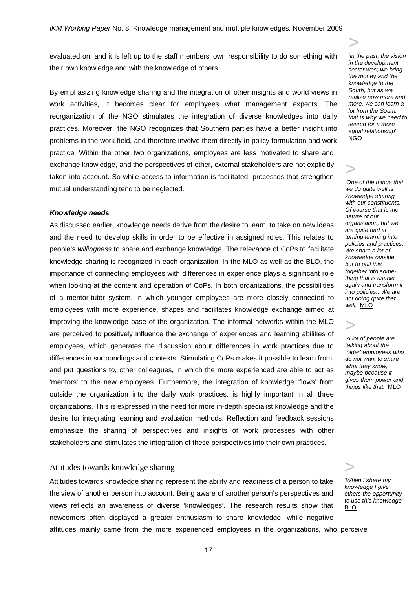evaluated on, and it is left up to the staff members' own responsibility to do something with their own knowledge and with the knowledge of others.

By emphasizing knowledge sharing and the integration of other insights and world views in work activities, it becomes clear for employees what management expects. The reorganization of the NGO stimulates the integration of diverse knowledges into daily practices. Moreover, the NGO recognizes that Southern parties have a better insight into problems in the work field, and therefore involve them directly in policy formulation and work practice. Within the other two organizations, employees are less motivated to share and exchange knowledge, and the perspectives of other, external stakeholders are not explicitly taken into account. So while access to information is facilitated, processes that strengthen mutual understanding tend to be neglected.

#### *Knowledge needs*

As discussed earlier, knowledge needs derive from the desire to learn, to take on new ideas and the need to develop skills in order to be effective in assigned roles. This relates to people's *willingness* to share and exchange knowledge. The relevance of CoPs to facilitate knowledge sharing is recognized in each organization. In the MLO as well as the BLO, the importance of connecting employees with differences in experience plays a significant role when looking at the content and operation of CoPs. In both organizations, the possibilities of a mentor-tutor system, in which younger employees are more closely connected to employees with more experience, shapes and facilitates knowledge exchange aimed at improving the knowledge base of the organization. The informal networks within the MLO are perceived to positively influence the exchange of experiences and learning abilities of employees, which generates the discussion about differences in work practices due to differences in surroundings and contexts. Stimulating CoPs makes it possible to learn from, and put questions to, other colleagues, in which the more experienced are able to act as 'mentors' to the new employees. Furthermore, the integration of knowledge 'flows' from outside the organization into the daily work practices, is highly important in all three organizations. This is expressed in the need for more in-depth specialist knowledge and the desire for integrating learning and evaluation methods. Reflection and feedback sessions emphasize the sharing of perspectives and insights of work processes with other stakeholders and stimulates the integration of these perspectives into their own practices.

#### Attitudes towards knowledge sharing

Attitudes towards knowledge sharing represent the ability and readiness of a person to take the view of another person into account. Being aware of another person's perspectives and views reflects an awareness of diverse 'knowledges'. The research results show that newcomers often displayed a greater enthusiasm to share knowledge, while negative attitudes mainly came from the more experienced employees in the organizations, who perceive

*'In the past, the vision in the development sector was; we bring the money and the knowledge to the South, but as we realize now more and more, we can learn a lot from the South, that is why we need to search for a more equal relationship*' NGO

# >

>

*'One of the things that we do quite well is knowledge sharing with our constituents. Of course that is the nature of our organization, but we are quite bad at turning learning into policies and practices. We share a lot of knowledge outside, but to pull this together into something that is usable again and transform it into policies...We are not doing quite that well.'* MLO

# >

'*A lot of people are talking about the 'older' employees who do not want to share what they know, maybe because it gives them power and things like that.'* MLO

> '*When I share my knowledge I give others the opportunity to use this knowledge*' BLO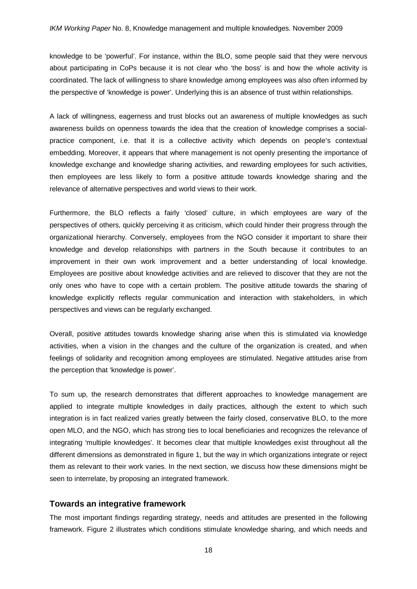knowledge to be 'powerful'. For instance, within the BLO, some people said that they were nervous about participating in CoPs because it is not clear who 'the boss' is and how the whole activity is coordinated. The lack of willingness to share knowledge among employees was also often informed by the perspective of 'knowledge is power'. Underlying this is an absence of trust within relationships.

A lack of willingness, eagerness and trust blocks out an awareness of multiple knowledges as such awareness builds on openness towards the idea that the creation of knowledge comprises a socialpractice component, i.e. that it is a collective activity which depends on people's contextual embedding. Moreover, it appears that where management is not openly presenting the importance of knowledge exchange and knowledge sharing activities, and rewarding employees for such activities, then employees are less likely to form a positive attitude towards knowledge sharing and the relevance of alternative perspectives and world views to their work.

Furthermore, the BLO reflects a fairly 'closed' culture, in which employees are wary of the perspectives of others, quickly perceiving it as criticism, which could hinder their progress through the organizational hierarchy. Conversely, employees from the NGO consider it important to share their knowledge and develop relationships with partners in the South because it contributes to an improvement in their own work improvement and a better understanding of local knowledge. Employees are positive about knowledge activities and are relieved to discover that they are not the only ones who have to cope with a certain problem. The positive attitude towards the sharing of knowledge explicitly reflects regular communication and interaction with stakeholders, in which perspectives and views can be regularly exchanged.

Overall, positive attitudes towards knowledge sharing arise when this is stimulated via knowledge activities, when a vision in the changes and the culture of the organization is created, and when feelings of solidarity and recognition among employees are stimulated. Negative attitudes arise from the perception that 'knowledge is power'.

To sum up, the research demonstrates that different approaches to knowledge management are applied to integrate multiple knowledges in daily practices, although the extent to which such integration is in fact realized varies greatly between the fairly closed, conservative BLO, to the more open MLO, and the NGO, which has strong ties to local beneficiaries and recognizes the relevance of integrating 'multiple knowledges'. It becomes clear that multiple knowledges exist throughout all the different dimensions as demonstrated in figure 1, but the way in which organizations integrate or reject them as relevant to their work varies. In the next section, we discuss how these dimensions might be seen to interrelate, by proposing an integrated framework.

## **Towards an integrative framework**

The most important findings regarding strategy, needs and attitudes are presented in the following framework. Figure 2 illustrates which conditions stimulate knowledge sharing, and which needs and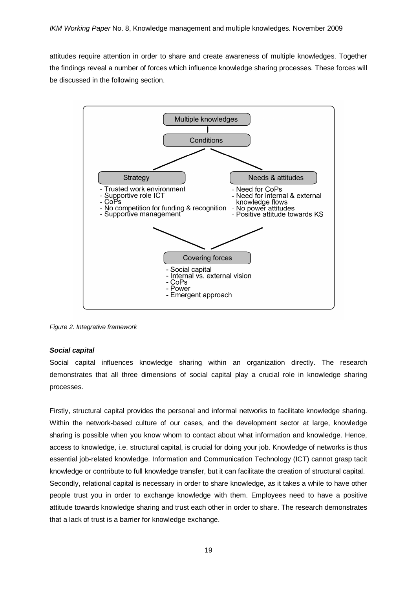attitudes require attention in order to share and create awareness of multiple knowledges. Together the findings reveal a number of forces which influence knowledge sharing processes. These forces will be discussed in the following section.



*Figure 2. Integrative framework*

## *Social capital*

Social capital influences knowledge sharing within an organization directly. The research demonstrates that all three dimensions of social capital play a crucial role in knowledge sharing processes.

Firstly, structural capital provides the personal and informal networks to facilitate knowledge sharing. Within the network-based culture of our cases, and the development sector at large, knowledge sharing is possible when you know whom to contact about what information and knowledge. Hence, access to knowledge, i.e. structural capital, is crucial for doing your job. Knowledge of networks is thus essential job-related knowledge. Information and Communication Technology (ICT) cannot grasp tacit knowledge or contribute to full knowledge transfer, but it can facilitate the creation of structural capital. Secondly, relational capital is necessary in order to share knowledge, as it takes a while to have other people trust you in order to exchange knowledge with them. Employees need to have a positive attitude towards knowledge sharing and trust each other in order to share. The research demonstrates that a lack of trust is a barrier for knowledge exchange.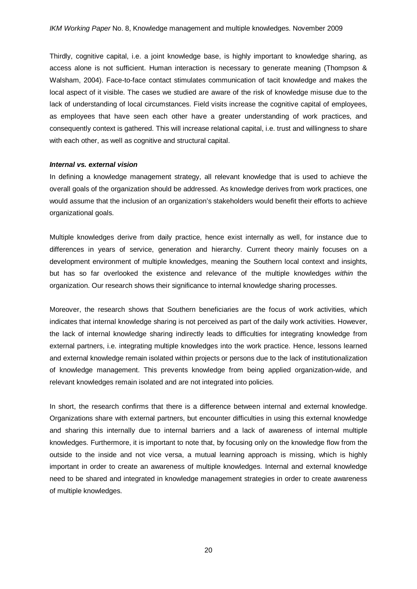Thirdly, cognitive capital, i.e. a joint knowledge base, is highly important to knowledge sharing, as access alone is not sufficient. Human interaction is necessary to generate meaning (Thompson & Walsham, 2004). Face-to-face contact stimulates communication of tacit knowledge and makes the local aspect of it visible. The cases we studied are aware of the risk of knowledge misuse due to the lack of understanding of local circumstances. Field visits increase the cognitive capital of employees, as employees that have seen each other have a greater understanding of work practices, and consequently context is gathered. This will increase relational capital, i.e. trust and willingness to share with each other, as well as cognitive and structural capital.

#### *Internal vs. external vision*

In defining a knowledge management strategy, all relevant knowledge that is used to achieve the overall goals of the organization should be addressed. As knowledge derives from work practices, one would assume that the inclusion of an organization's stakeholders would benefit their efforts to achieve organizational goals.

Multiple knowledges derive from daily practice, hence exist internally as well, for instance due to differences in years of service, generation and hierarchy. Current theory mainly focuses on a development environment of multiple knowledges, meaning the Southern local context and insights, but has so far overlooked the existence and relevance of the multiple knowledges *within* the organization. Our research shows their significance to internal knowledge sharing processes.

Moreover, the research shows that Southern beneficiaries are the focus of work activities, which indicates that internal knowledge sharing is not perceived as part of the daily work activities. However, the lack of internal knowledge sharing indirectly leads to difficulties for integrating knowledge from external partners, i.e. integrating multiple knowledges into the work practice. Hence, lessons learned and external knowledge remain isolated within projects or persons due to the lack of institutionalization of knowledge management. This prevents knowledge from being applied organization-wide, and relevant knowledges remain isolated and are not integrated into policies.

In short, the research confirms that there is a difference between internal and external knowledge. Organizations share with external partners, but encounter difficulties in using this external knowledge and sharing this internally due to internal barriers and a lack of awareness of internal multiple knowledges. Furthermore, it is important to note that, by focusing only on the knowledge flow from the outside to the inside and not vice versa, a mutual learning approach is missing, which is highly important in order to create an awareness of multiple knowledges. Internal and external knowledge need to be shared and integrated in knowledge management strategies in order to create awareness of multiple knowledges.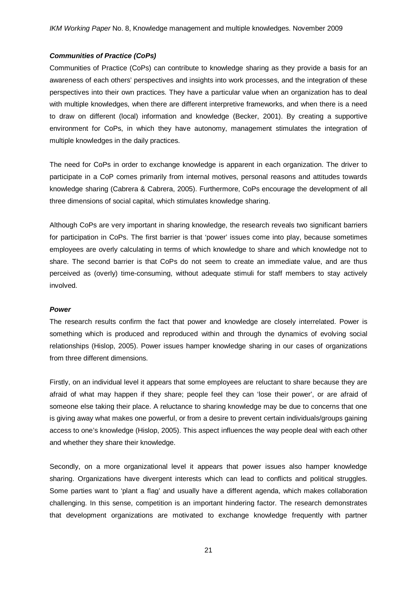## *Communities of Practice (CoPs)*

Communities of Practice (CoPs) can contribute to knowledge sharing as they provide a basis for an awareness of each others' perspectives and insights into work processes, and the integration of these perspectives into their own practices. They have a particular value when an organization has to deal with multiple knowledges, when there are different interpretive frameworks, and when there is a need to draw on different (local) information and knowledge (Becker, 2001). By creating a supportive environment for CoPs, in which they have autonomy, management stimulates the integration of multiple knowledges in the daily practices.

The need for CoPs in order to exchange knowledge is apparent in each organization. The driver to participate in a CoP comes primarily from internal motives, personal reasons and attitudes towards knowledge sharing (Cabrera & Cabrera, 2005). Furthermore, CoPs encourage the development of all three dimensions of social capital, which stimulates knowledge sharing.

Although CoPs are very important in sharing knowledge, the research reveals two significant barriers for participation in CoPs. The first barrier is that 'power' issues come into play, because sometimes employees are overly calculating in terms of which knowledge to share and which knowledge not to share. The second barrier is that CoPs do not seem to create an immediate value, and are thus perceived as (overly) time-consuming, without adequate stimuli for staff members to stay actively involved.

## *Power*

The research results confirm the fact that power and knowledge are closely interrelated. Power is something which is produced and reproduced within and through the dynamics of evolving social relationships (Hislop, 2005). Power issues hamper knowledge sharing in our cases of organizations from three different dimensions.

Firstly, on an individual level it appears that some employees are reluctant to share because they are afraid of what may happen if they share; people feel they can 'lose their power', or are afraid of someone else taking their place. A reluctance to sharing knowledge may be due to concerns that one is giving away what makes one powerful, or from a desire to prevent certain individuals/groups gaining access to one's knowledge (Hislop, 2005). This aspect influences the way people deal with each other and whether they share their knowledge.

Secondly, on a more organizational level it appears that power issues also hamper knowledge sharing. Organizations have divergent interests which can lead to conflicts and political struggles. Some parties want to 'plant a flag' and usually have a different agenda, which makes collaboration challenging. In this sense, competition is an important hindering factor. The research demonstrates that development organizations are motivated to exchange knowledge frequently with partner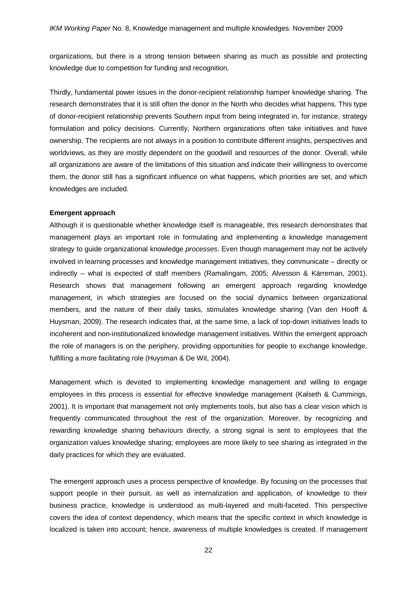organizations, but there is a strong tension between sharing as much as possible and protecting knowledge due to competition for funding and recognition.

Thirdly, fundamental power issues in the donor-recipient relationship hamper knowledge sharing. The research demonstrates that it is still often the donor in the North who decides what happens. This type of donor-recipient relationship prevents Southern input from being integrated in, for instance, strategy formulation and policy decisions. Currently, Northern organizations often take initiatives and have ownership. The recipients are not always in a position to contribute different insights, perspectives and worldviews, as they are mostly dependent on the goodwill and resources of the donor. Overall, while all organizations are aware of the limitations of this situation and indicate their willingness to overcome them, the donor still has a significant influence on what happens, which priorities are set, and which knowledges are included.

#### **Emergent approach**

Although it is questionable whether knowledge itself is manageable, this research demonstrates that management plays an important role in formulating and implementing a knowledge management strategy to guide organizational knowledge *processes*. Even though management may not be actively involved in learning processes and knowledge management initiatives, they communicate – directly or indirectly – what is expected of staff members (Ramalingam, 2005; Alvesson & Kärreman, 2001). Research shows that management following an emergent approach regarding knowledge management, in which strategies are focused on the social dynamics between organizational members, and the nature of their daily tasks, stimulates knowledge sharing (Van den Hooff & Huysman, 2009). The research indicates that, at the same time, a lack of top-down initiatives leads to incoherent and non-institutionalized knowledge management initiatives. Within the emergent approach the role of managers is on the periphery, providing opportunities for people to exchange knowledge, fulfilling a more facilitating role (Huysman & De Wit, 2004).

Management which is devoted to implementing knowledge management and willing to engage employees in this process is essential for effective knowledge management (Kalseth & Cummings, 2001). It is important that management not only implements tools, but also has a clear vision which is frequently communicated throughout the rest of the organization. Moreover, by recognizing and rewarding knowledge sharing behaviours directly, a strong signal is sent to employees that the organization values knowledge sharing; employees are more likely to see sharing as integrated in the daily practices for which they are evaluated.

The emergent approach uses a process perspective of knowledge. By focusing on the processes that support people in their pursuit, as well as internalization and application, of knowledge to their business practice, knowledge is understood as multi-layered and multi-faceted. This perspective covers the idea of context dependency, which means that the specific context in which knowledge is localized is taken into account; hence, awareness of multiple knowledges is created. If management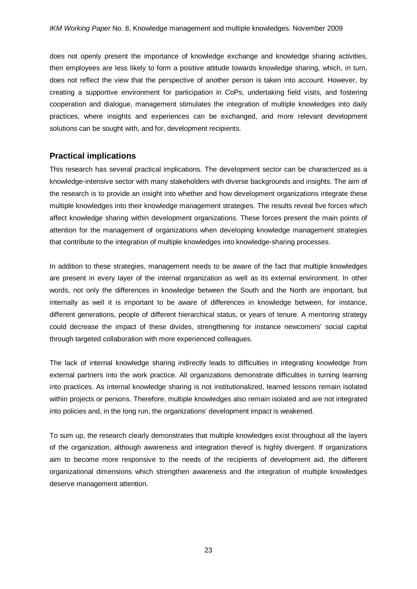does not openly present the importance of knowledge exchange and knowledge sharing activities, then employees are less likely to form a positive attitude towards knowledge sharing, which, in turn, does not reflect the view that the perspective of another person is taken into account. However, by creating a supportive environment for participation in CoPs, undertaking field visits, and fostering cooperation and dialogue, management stimulates the integration of multiple knowledges into daily practices, where insights and experiences can be exchanged, and more relevant development solutions can be sought with, and for, development recipients.

## **Practical implications**

This research has several practical implications. The development sector can be characterized as a knowledge-intensive sector with many stakeholders with diverse backgrounds and insights. The aim of the research is to provide an insight into whether and how development organizations integrate these multiple knowledges into their knowledge management strategies. The results reveal five forces which affect knowledge sharing within development organizations. These forces present the main points of attention for the management of organizations when developing knowledge management strategies that contribute to the integration of multiple knowledges into knowledge-sharing processes.

In addition to these strategies, management needs to be aware of the fact that multiple knowledges are present in every layer of the internal organization as well as its external environment. In other words, not only the differences in knowledge between the South and the North are important, but internally as well it is important to be aware of differences in knowledge between, for instance, different generations, people of different hierarchical status, or years of tenure. A mentoring strategy could decrease the impact of these divides, strengthening for instance newcomers' social capital through targeted collaboration with more experienced colleagues.

The lack of internal knowledge sharing indirectly leads to difficulties in integrating knowledge from external partners into the work practice. All organizations demonstrate difficulties in turning learning into practices. As internal knowledge sharing is not institutionalized, learned lessons remain isolated within projects or persons. Therefore, multiple knowledges also remain isolated and are not integrated into policies and, in the long run, the organizations' development impact is weakened.

To sum up, the research clearly demonstrates that multiple knowledges exist throughout all the layers of the organization, although awareness and integration thereof is highly divergent. If organizations aim to become more responsive to the needs of the recipients of development aid, the different organizational dimensions which strengthen awareness and the integration of multiple knowledges deserve management attention.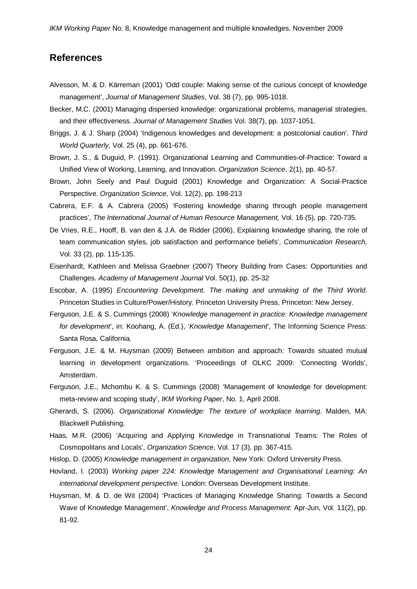# **References**

- Alvesson, M. & D. Kärreman (2001) 'Odd couple: Making sense of the curious concept of knowledge management', *Journal of Management Studies*, Vol. 38 (7), pp. 995-1018.
- Becker, M.C. (2001) Managing dispersed knowledge: organizational problems, managerial strategies, and their effectiveness. *Journal of Management Studies* Vol. 38(7), pp. 1037-1051.
- Briggs, J. & J. Sharp (2004) 'Indigenous knowledges and development: a postcolonial caution'. *Third World Quarterly,* Vol. 25 (4), pp. 661-676.
- Brown, J. S., & Duguid, P. (1991). Organizational Learning and Communities-of-Practice: Toward a Unified View of Working, Learning, and Innovation. *Organization Science*, 2(1), pp. 40-57.
- Brown, John Seely and Paul Duguid (2001) Knowledge and Organization: A Social-Practice Perspective. *Organization Science,* Vol. 12(2), pp. 198-213
- Cabrera, E.F. & A. Cabrera (2005) 'Fostering knowledge sharing through people management practices', *The International Journal of Human Resource Management,* Vol. 16 (5), pp. 720-735.
- De Vries, R.E., Hooff, B. van den & J.A. de Ridder (2006), Explaining knowledge sharing, the role of team communication styles, job satisfaction and performance beliefs', *Communication Research,*  Vol. 33 (2), pp. 115-135.
- Eisenhardt, Kathleen and Melissa Graebner (2007) Theory Building from Cases: Opportunities and Challenges. *Academy of Management Journal* Vol. 50(1), pp. 25-32
- Escobar, A. (1995) *Encountering Development. The making and unmaking of the Third World*. Princeton Studies in Culture/Power/History. Princeton University Press, Princeton: New Jersey.
- Ferguson, J.E. & S. Cummings (2008) '*Knowledge management in practice: Knowledge management for development*', in: Koohang, A. (Ed.), '*Knowledge Management*', The Informing Science Press: Santa Rosa, California*.*
- Ferguson, J.E. & M. Huysman (2009) Between ambition and approach: Towards situated mutual learning in development organizations. 'Proceedings of OLKC 2009: 'Connecting Worlds', Amsterdam.
- Ferguson, J.E., Mchombu K. & S. Cummings (2008) 'Management of knowledge for development: meta-review and scoping study', *IKM Working Paper*, No. 1, April 2008.
- Gherardi, S. (2006). *Organizational Knowledge: The texture of workplace learning*. Malden, MA: Blackwell Publishing.
- Haas, M.R. (2006) 'Acquiring and Applying Knowledge in Transnational Teams: The Roles of Cosmopolitans and Locals', *Organization Science*, Vol. 17 (3), pp. 367-415.
- Hislop, D. (2005) *Knowledge management in organization*, New York: Oxford University Press.
- Hovland, I. (2003) *Working paper 224: Knowledge Management and Organisational Learning: An international development perspective*. London: Overseas Development Institute.
- Huysman, M. & D. de Wit (2004) 'Practices of Managing Knowledge Sharing: Towards a Second Wave of Knowledge Management', *Knowledge and Process Management:* Apr-Jun, Vol. 11(2), pp. 81-92.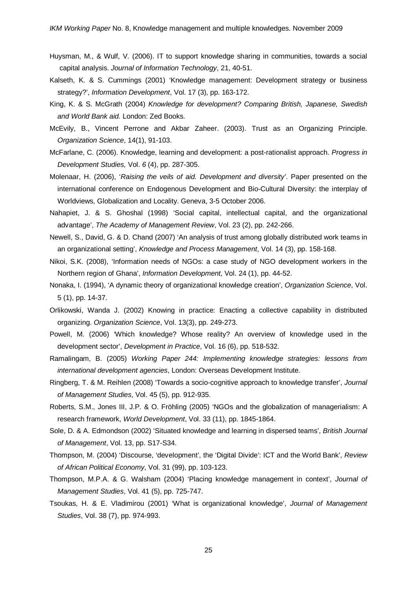- Huysman, M., & Wulf, V. (2006). IT to support knowledge sharing in communities, towards a social capital analysis. *Journal of Information Technology*, 21, 40-51.
- Kalseth, K. & S. Cummings (2001) 'Knowledge management: Development strategy or business strategy?', *Information Development*, Vol. 17 (3), pp. 163-172.
- King, K. & S. McGrath (2004) *Knowledge for development? Comparing British, Japanese, Swedish and World Bank aid.* London: Zed Books.
- McEvily, B., Vincent Perrone and Akbar Zaheer. (2003). Trust as an Organizing Principle. *Organization Science*, 14(1), 91-103.
- McFarlane, C. (2006). Knowledge, learning and development: a post-rationalist approach. *Progress in Development Studies,* Vol. *6* (4), pp. 287-305.
- Molenaar, H. (2006), '*Raising the veils of aid. Development and diversity'*. Paper presented on the international conference on Endogenous Development and Bio-Cultural Diversity: the interplay of Worldviews, Globalization and Locality. Geneva, 3-5 October 2006.
- Nahapiet, J. & S. Ghoshal (1998) 'Social capital, intellectual capital, and the organizational advantage', *The Academy of Management Review*, Vol. 23 (2), pp. 242-266.
- Newell, S., David, G. & D. Chand (2007) 'An analysis of trust among globally distributed work teams in an organizational setting', *Knowledge and Process Management*, Vol. 14 (3), pp. 158-168.
- Nikoi, S.K. (2008), 'Information needs of NGOs: a case study of NGO development workers in the Northern region of Ghana', *Information Development,* Vol. 24 (1), pp. 44-52.
- Nonaka, I. (1994), 'A dynamic theory of organizational knowledge creation', *Organization Science*, Vol. 5 (1), pp. 14-37.
- Orlikowski, Wanda J. (2002) Knowing in practice: Enacting a collective capability in distributed organizing. *Organization Science*, Vol. 13(3), pp. 249-273.
- Powell, M. (2006) 'Which knowledge? Whose reality? An overview of knowledge used in the development sector', *Development in Practice*, Vol. 16 (6), pp. 518-532.
- Ramalingam, B. (2005) *Working Paper 244: Implementing knowledge strategies: lessons from international development agencies*, London: Overseas Development Institute.
- Ringberg, T. & M. Reihlen (2008) 'Towards a socio-cognitive approach to knowledge transfer', *Journal of Management Studies*, Vol. 45 (5), pp. 912-935.
- Roberts, S.M., Jones III, J.P. & O. Fröhling (2005) 'NGOs and the globalization of managerialism: A research framework, *World Development*, Vol. 33 (11), pp. 1845-1864.
- Sole, D. & A. Edmondson (2002) 'Situated knowledge and learning in dispersed teams', *British Journal of Management*, Vol. 13, pp. S17-S34.
- Thompson, M. (2004) 'Discourse, 'development', the 'Digital Divide': ICT and the World Bank', *Review of African Political Economy*, Vol. 31 (99), pp. 103-123.
- Thompson, M.P.A. & G. Walsham (2004) 'Placing knowledge management in context', *Journal of Management Studies*, Vol. 41 (5), pp. 725-747.
- Tsoukas, H. & E. Vladimirou (2001) 'What is organizational knowledge', *Journal of Management Studies*, Vol. 38 (7), pp. 974-993.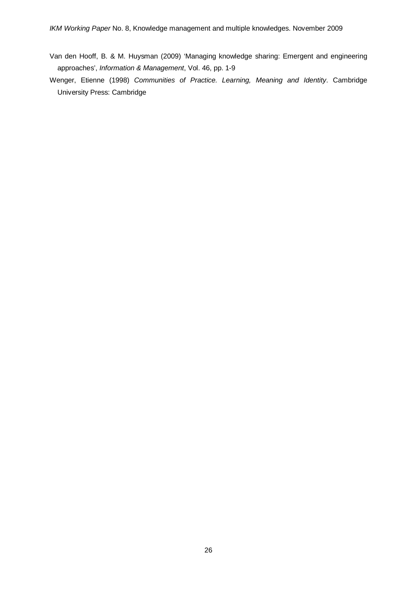Van den Hooff, B. & M. Huysman (2009) 'Managing knowledge sharing: Emergent and engineering approaches', *Information & Management*, Vol. 46, pp. 1-9

Wenger, Etienne (1998) *Communities of Practice. Learning, Meaning and Identity*. Cambridge University Press: Cambridge